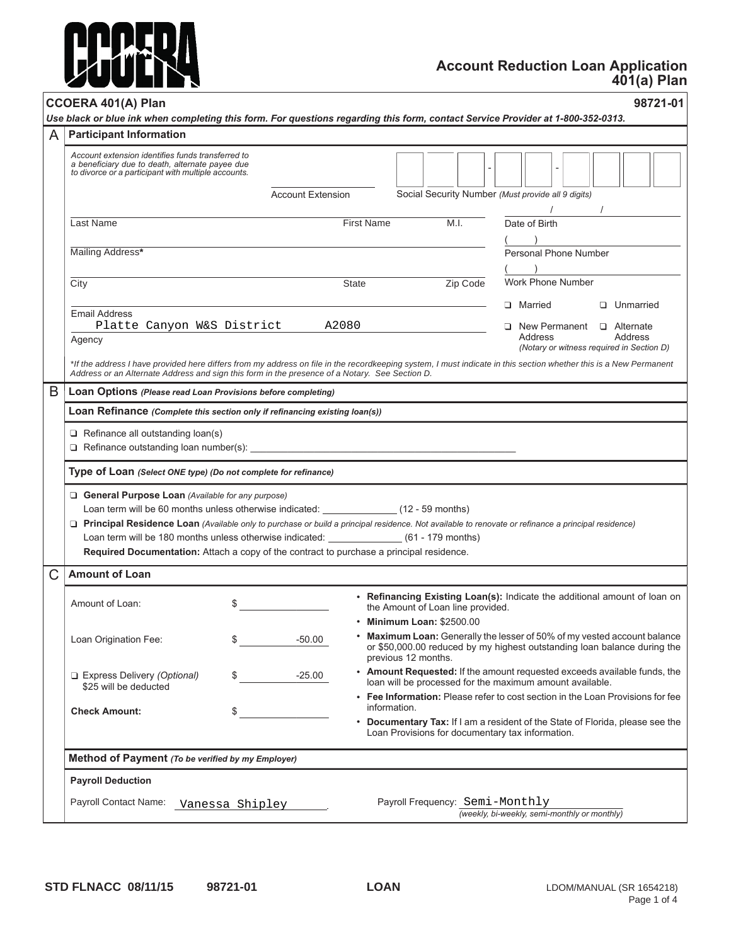

# **Account Reduction Loan Application 401(a) Plan**

| <b>Participant Information</b>                                                                                                                                                                                                                                      |                                                              |                                                                                                                                                                                                                                                   |                                                                                                                                                                                                                                                                                                                                                                                                                                                                                  |  |  |  |  |
|---------------------------------------------------------------------------------------------------------------------------------------------------------------------------------------------------------------------------------------------------------------------|--------------------------------------------------------------|---------------------------------------------------------------------------------------------------------------------------------------------------------------------------------------------------------------------------------------------------|----------------------------------------------------------------------------------------------------------------------------------------------------------------------------------------------------------------------------------------------------------------------------------------------------------------------------------------------------------------------------------------------------------------------------------------------------------------------------------|--|--|--|--|
| Account extension identifies funds transferred to<br>a beneficiary due to death, alternate payee due<br>to divorce or a participant with multiple accounts.                                                                                                         |                                                              |                                                                                                                                                                                                                                                   |                                                                                                                                                                                                                                                                                                                                                                                                                                                                                  |  |  |  |  |
|                                                                                                                                                                                                                                                                     | Social Security Number (Must provide all 9 digits)           |                                                                                                                                                                                                                                                   |                                                                                                                                                                                                                                                                                                                                                                                                                                                                                  |  |  |  |  |
| Last Name                                                                                                                                                                                                                                                           |                                                              | <b>First Name</b><br>M.I.                                                                                                                                                                                                                         | Date of Birth                                                                                                                                                                                                                                                                                                                                                                                                                                                                    |  |  |  |  |
| Mailing Address*                                                                                                                                                                                                                                                    | Personal Phone Number                                        |                                                                                                                                                                                                                                                   |                                                                                                                                                                                                                                                                                                                                                                                                                                                                                  |  |  |  |  |
| City                                                                                                                                                                                                                                                                |                                                              | Zip Code<br><b>State</b>                                                                                                                                                                                                                          | Work Phone Number                                                                                                                                                                                                                                                                                                                                                                                                                                                                |  |  |  |  |
| <b>Email Address</b><br>Platte Canyon W&S District                                                                                                                                                                                                                  | A2080                                                        |                                                                                                                                                                                                                                                   | □ Married<br><b>Unmarried</b><br>$\Box$ New Permanent $\Box$ Alternate                                                                                                                                                                                                                                                                                                                                                                                                           |  |  |  |  |
| Agency                                                                                                                                                                                                                                                              |                                                              |                                                                                                                                                                                                                                                   | Address<br>Address<br>(Notary or witness required in Section D)                                                                                                                                                                                                                                                                                                                                                                                                                  |  |  |  |  |
| *If the address I have provided here differs from my address on file in the recordkeeping system, I must indicate in this section whether this is a New Permanent<br>Address or an Alternate Address and sign this form in the presence of a Notary. See Section D. |                                                              |                                                                                                                                                                                                                                                   |                                                                                                                                                                                                                                                                                                                                                                                                                                                                                  |  |  |  |  |
|                                                                                                                                                                                                                                                                     | Loan Options (Please read Loan Provisions before completing) |                                                                                                                                                                                                                                                   |                                                                                                                                                                                                                                                                                                                                                                                                                                                                                  |  |  |  |  |
| Loan Refinance (Complete this section only if refinancing existing loan(s))                                                                                                                                                                                         |                                                              |                                                                                                                                                                                                                                                   |                                                                                                                                                                                                                                                                                                                                                                                                                                                                                  |  |  |  |  |
| $\Box$ Refinance all outstanding loan(s)                                                                                                                                                                                                                            |                                                              |                                                                                                                                                                                                                                                   |                                                                                                                                                                                                                                                                                                                                                                                                                                                                                  |  |  |  |  |
|                                                                                                                                                                                                                                                                     |                                                              |                                                                                                                                                                                                                                                   |                                                                                                                                                                                                                                                                                                                                                                                                                                                                                  |  |  |  |  |
| Type of Loan (Select ONE type) (Do not complete for refinance)                                                                                                                                                                                                      |                                                              |                                                                                                                                                                                                                                                   |                                                                                                                                                                                                                                                                                                                                                                                                                                                                                  |  |  |  |  |
| General Purpose Loan (Available for any purpose)<br>Required Documentation: Attach a copy of the contract to purchase a principal residence.                                                                                                                        |                                                              | □ Principal Residence Loan (Available only to purchase or build a principal residence. Not available to renovate or refinance a principal residence)<br>Loan term will be 180 months unless otherwise indicated: _______________(61 - 179 months) |                                                                                                                                                                                                                                                                                                                                                                                                                                                                                  |  |  |  |  |
| <b>Amount of Loan</b>                                                                                                                                                                                                                                               |                                                              |                                                                                                                                                                                                                                                   |                                                                                                                                                                                                                                                                                                                                                                                                                                                                                  |  |  |  |  |
| Amount of Loan:                                                                                                                                                                                                                                                     | \$                                                           | the Amount of Loan line provided.<br>• Minimum Loan: \$2500.00                                                                                                                                                                                    |                                                                                                                                                                                                                                                                                                                                                                                                                                                                                  |  |  |  |  |
| Loan Origination Fee:                                                                                                                                                                                                                                               | \$<br>$-50.00$                                               | previous 12 months.                                                                                                                                                                                                                               |                                                                                                                                                                                                                                                                                                                                                                                                                                                                                  |  |  |  |  |
| Express Delivery (Optional)<br>\$25 will be deducted                                                                                                                                                                                                                | $-25.00$<br>\$                                               | loan will be processed for the maximum amount available.                                                                                                                                                                                          |                                                                                                                                                                                                                                                                                                                                                                                                                                                                                  |  |  |  |  |
| <b>Check Amount:</b>                                                                                                                                                                                                                                                | \$                                                           | information.<br>Loan Provisions for documentary tax information.                                                                                                                                                                                  |                                                                                                                                                                                                                                                                                                                                                                                                                                                                                  |  |  |  |  |
| Method of Payment (To be verified by my Employer)                                                                                                                                                                                                                   |                                                              |                                                                                                                                                                                                                                                   |                                                                                                                                                                                                                                                                                                                                                                                                                                                                                  |  |  |  |  |
| <b>Payroll Deduction</b>                                                                                                                                                                                                                                            |                                                              |                                                                                                                                                                                                                                                   | • Refinancing Existing Loan(s): Indicate the additional amount of loan on<br>• Maximum Loan: Generally the lesser of 50% of my vested account balance<br>or \$50,000.00 reduced by my highest outstanding loan balance during the<br>• Amount Requested: If the amount requested exceeds available funds, the<br>• Fee Information: Please refer to cost section in the Loan Provisions for fee<br>• Documentary Tax: If I am a resident of the State of Florida, please see the |  |  |  |  |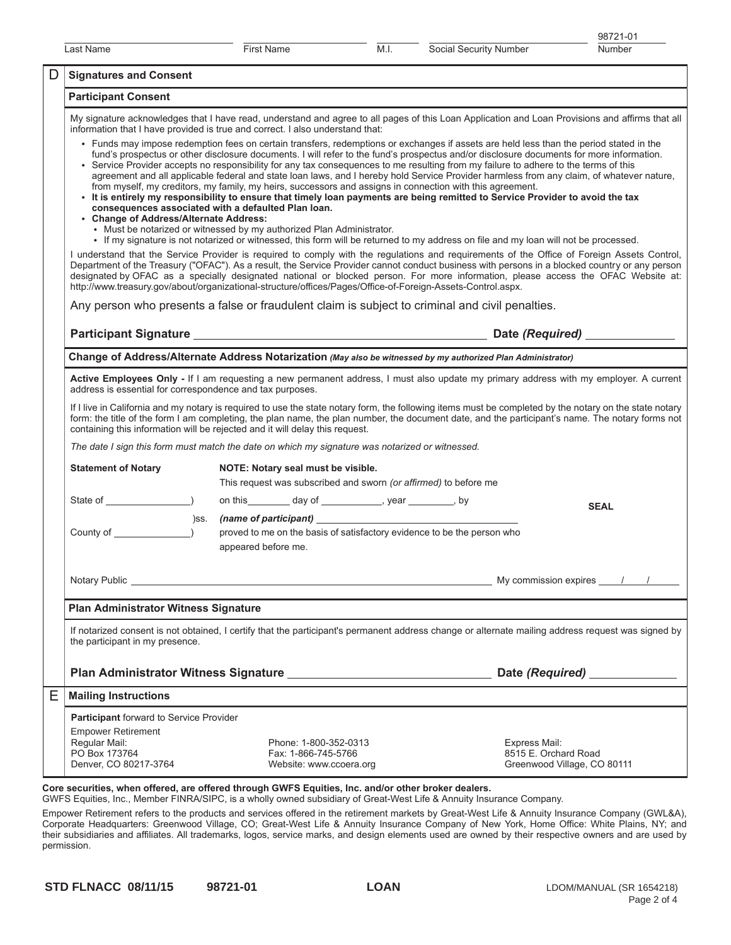|                                                                  | Last Name                                                                                                                                                                                                                                                                                                                                                                                                                                                                                                                                                                                                                                                                                                                                                                                                                                                                                                                                                                                         |                                                                                                 | <b>First Name</b>                                                                                                                                                                                                                    | M.I.                                                             | Social Security Number | Number                                                               |  |  |  |
|------------------------------------------------------------------|---------------------------------------------------------------------------------------------------------------------------------------------------------------------------------------------------------------------------------------------------------------------------------------------------------------------------------------------------------------------------------------------------------------------------------------------------------------------------------------------------------------------------------------------------------------------------------------------------------------------------------------------------------------------------------------------------------------------------------------------------------------------------------------------------------------------------------------------------------------------------------------------------------------------------------------------------------------------------------------------------|-------------------------------------------------------------------------------------------------|--------------------------------------------------------------------------------------------------------------------------------------------------------------------------------------------------------------------------------------|------------------------------------------------------------------|------------------------|----------------------------------------------------------------------|--|--|--|
| D                                                                | <b>Signatures and Consent</b>                                                                                                                                                                                                                                                                                                                                                                                                                                                                                                                                                                                                                                                                                                                                                                                                                                                                                                                                                                     |                                                                                                 |                                                                                                                                                                                                                                      |                                                                  |                        |                                                                      |  |  |  |
|                                                                  | <b>Participant Consent</b>                                                                                                                                                                                                                                                                                                                                                                                                                                                                                                                                                                                                                                                                                                                                                                                                                                                                                                                                                                        |                                                                                                 |                                                                                                                                                                                                                                      |                                                                  |                        |                                                                      |  |  |  |
|                                                                  | My signature acknowledges that I have read, understand and agree to all pages of this Loan Application and Loan Provisions and affirms that all<br>information that I have provided is true and correct. I also understand that:                                                                                                                                                                                                                                                                                                                                                                                                                                                                                                                                                                                                                                                                                                                                                                  |                                                                                                 |                                                                                                                                                                                                                                      |                                                                  |                        |                                                                      |  |  |  |
|                                                                  | • Funds may impose redemption fees on certain transfers, redemptions or exchanges if assets are held less than the period stated in the<br>fund's prospectus or other disclosure documents. I will refer to the fund's prospectus and/or disclosure documents for more information.<br>• Service Provider accepts no responsibility for any tax consequences to me resulting from my failure to adhere to the terms of this<br>agreement and all applicable federal and state loan laws, and I hereby hold Service Provider harmless from any claim, of whatever nature,<br>from myself, my creditors, my family, my heirs, successors and assigns in connection with this agreement.<br>. It is entirely my responsibility to ensure that timely loan payments are being remitted to Service Provider to avoid the tax<br>consequences associated with a defaulted Plan Ioan.<br>• Change of Address/Alternate Address:<br>• Must be notarized or witnessed by my authorized Plan Administrator. |                                                                                                 |                                                                                                                                                                                                                                      |                                                                  |                        |                                                                      |  |  |  |
|                                                                  | • If my signature is not notarized or witnessed, this form will be returned to my address on file and my loan will not be processed.<br>I understand that the Service Provider is required to comply with the regulations and requirements of the Office of Foreign Assets Control,<br>Department of the Treasury ("OFAC"). As a result, the Service Provider cannot conduct business with persons in a blocked country or any person<br>designated by OFAC as a specially designated national or blocked person. For more information, please access the OFAC Website at:<br>http://www.treasury.gov/about/organizational-structure/offices/Pages/Office-of-Foreign-Assets-Control.aspx.                                                                                                                                                                                                                                                                                                         |                                                                                                 |                                                                                                                                                                                                                                      |                                                                  |                        |                                                                      |  |  |  |
|                                                                  |                                                                                                                                                                                                                                                                                                                                                                                                                                                                                                                                                                                                                                                                                                                                                                                                                                                                                                                                                                                                   | Any person who presents a false or fraudulent claim is subject to criminal and civil penalties. |                                                                                                                                                                                                                                      |                                                                  |                        |                                                                      |  |  |  |
|                                                                  |                                                                                                                                                                                                                                                                                                                                                                                                                                                                                                                                                                                                                                                                                                                                                                                                                                                                                                                                                                                                   |                                                                                                 |                                                                                                                                                                                                                                      |                                                                  |                        |                                                                      |  |  |  |
|                                                                  |                                                                                                                                                                                                                                                                                                                                                                                                                                                                                                                                                                                                                                                                                                                                                                                                                                                                                                                                                                                                   |                                                                                                 | Change of Address/Alternate Address Notarization (May also be witnessed by my authorized Plan Administrator)                                                                                                                         |                                                                  |                        |                                                                      |  |  |  |
|                                                                  | Active Employees Only - If I am requesting a new permanent address, I must also update my primary address with my employer. A current<br>address is essential for correspondence and tax purposes.                                                                                                                                                                                                                                                                                                                                                                                                                                                                                                                                                                                                                                                                                                                                                                                                |                                                                                                 |                                                                                                                                                                                                                                      |                                                                  |                        |                                                                      |  |  |  |
|                                                                  | If I live in California and my notary is required to use the state notary form, the following items must be completed by the notary on the state notary<br>form: the title of the form I am completing, the plan name, the plan number, the document date, and the participant's name. The notary forms not<br>containing this information will be rejected and it will delay this request.                                                                                                                                                                                                                                                                                                                                                                                                                                                                                                                                                                                                       |                                                                                                 |                                                                                                                                                                                                                                      |                                                                  |                        |                                                                      |  |  |  |
|                                                                  | The date I sign this form must match the date on which my signature was notarized or witnessed.                                                                                                                                                                                                                                                                                                                                                                                                                                                                                                                                                                                                                                                                                                                                                                                                                                                                                                   |                                                                                                 |                                                                                                                                                                                                                                      |                                                                  |                        |                                                                      |  |  |  |
| <b>Statement of Notary</b><br>NOTE: Notary seal must be visible. |                                                                                                                                                                                                                                                                                                                                                                                                                                                                                                                                                                                                                                                                                                                                                                                                                                                                                                                                                                                                   |                                                                                                 |                                                                                                                                                                                                                                      |                                                                  |                        |                                                                      |  |  |  |
|                                                                  |                                                                                                                                                                                                                                                                                                                                                                                                                                                                                                                                                                                                                                                                                                                                                                                                                                                                                                                                                                                                   |                                                                                                 |                                                                                                                                                                                                                                      | This request was subscribed and sworn (or affirmed) to before me |                        |                                                                      |  |  |  |
|                                                                  |                                                                                                                                                                                                                                                                                                                                                                                                                                                                                                                                                                                                                                                                                                                                                                                                                                                                                                                                                                                                   |                                                                                                 | on this _________ day of ______________, year _________, by                                                                                                                                                                          |                                                                  |                        | <b>SEAL</b>                                                          |  |  |  |
|                                                                  | County of _______                                                                                                                                                                                                                                                                                                                                                                                                                                                                                                                                                                                                                                                                                                                                                                                                                                                                                                                                                                                 | proved to me on the basis of satisfactory evidence to be the person who<br>appeared before me.  |                                                                                                                                                                                                                                      |                                                                  |                        |                                                                      |  |  |  |
|                                                                  |                                                                                                                                                                                                                                                                                                                                                                                                                                                                                                                                                                                                                                                                                                                                                                                                                                                                                                                                                                                                   |                                                                                                 | Notary Public <b>contract of the Contract Contract Contract Contract Contract Contract Contract Contract Contract Contract Contract Contract Contract Contract Contract Contract Contract Contract Contract Contract Contract Co</b> |                                                                  |                        | My commission expires $\frac{1}{2}$                                  |  |  |  |
|                                                                  | Plan Administrator Witness Signature                                                                                                                                                                                                                                                                                                                                                                                                                                                                                                                                                                                                                                                                                                                                                                                                                                                                                                                                                              |                                                                                                 |                                                                                                                                                                                                                                      |                                                                  |                        |                                                                      |  |  |  |
|                                                                  | If notarized consent is not obtained, I certify that the participant's permanent address change or alternate mailing address request was signed by<br>the participant in my presence.                                                                                                                                                                                                                                                                                                                                                                                                                                                                                                                                                                                                                                                                                                                                                                                                             |                                                                                                 |                                                                                                                                                                                                                                      |                                                                  |                        |                                                                      |  |  |  |
|                                                                  |                                                                                                                                                                                                                                                                                                                                                                                                                                                                                                                                                                                                                                                                                                                                                                                                                                                                                                                                                                                                   |                                                                                                 |                                                                                                                                                                                                                                      |                                                                  |                        |                                                                      |  |  |  |
| Ε                                                                | <b>Mailing Instructions</b>                                                                                                                                                                                                                                                                                                                                                                                                                                                                                                                                                                                                                                                                                                                                                                                                                                                                                                                                                                       |                                                                                                 |                                                                                                                                                                                                                                      |                                                                  |                        |                                                                      |  |  |  |
|                                                                  | Participant forward to Service Provider<br><b>Empower Retirement</b><br>Regular Mail:<br>PO Box 173764<br>Denver, CO 80217-3764                                                                                                                                                                                                                                                                                                                                                                                                                                                                                                                                                                                                                                                                                                                                                                                                                                                                   |                                                                                                 | Phone: 1-800-352-0313<br>Fax: 1-866-745-5766<br>Website: www.ccoera.org                                                                                                                                                              |                                                                  |                        | Express Mail:<br>8515 E. Orchard Road<br>Greenwood Village, CO 80111 |  |  |  |
|                                                                  |                                                                                                                                                                                                                                                                                                                                                                                                                                                                                                                                                                                                                                                                                                                                                                                                                                                                                                                                                                                                   |                                                                                                 | urbon offered, are offered through CINEC Equities, Inc. and/or other healers dealers.                                                                                                                                                |                                                                  |                        |                                                                      |  |  |  |

Core securities, when offered, are offered through GWFS Equities, Inc. and/or other broker dealers.

GWFS Equities, Inc., Member FINRA/SIPC, is a wholly owned subsidiary of Great-West Life & Annuity Insurance Company.

 $\epsilon$  Fund a Ferreater Funds, including Creating Greating Greating Great-West Funds, Inc. and  $\epsilon$  and design elements  $\epsilon$  Company (GWL 8.4) Empower Retirement refers to the products and services offered in the retirement markets by Great-West Life & Annuity Insurance Company (GWL&A),<br>Corporate Headquarters: Greenwood Village, CO: Great-West Life & Annuity Insu Corporate Headquarters: Greenwood Village, CO; Great-West Life & Annuity Insurance Company of New York, Home Office: White Plains, NY; and their subsidiaries and affiliates. All trademarks, logos, service marks, and design elements used are owned by their respective owners and are used by permission.

98721-01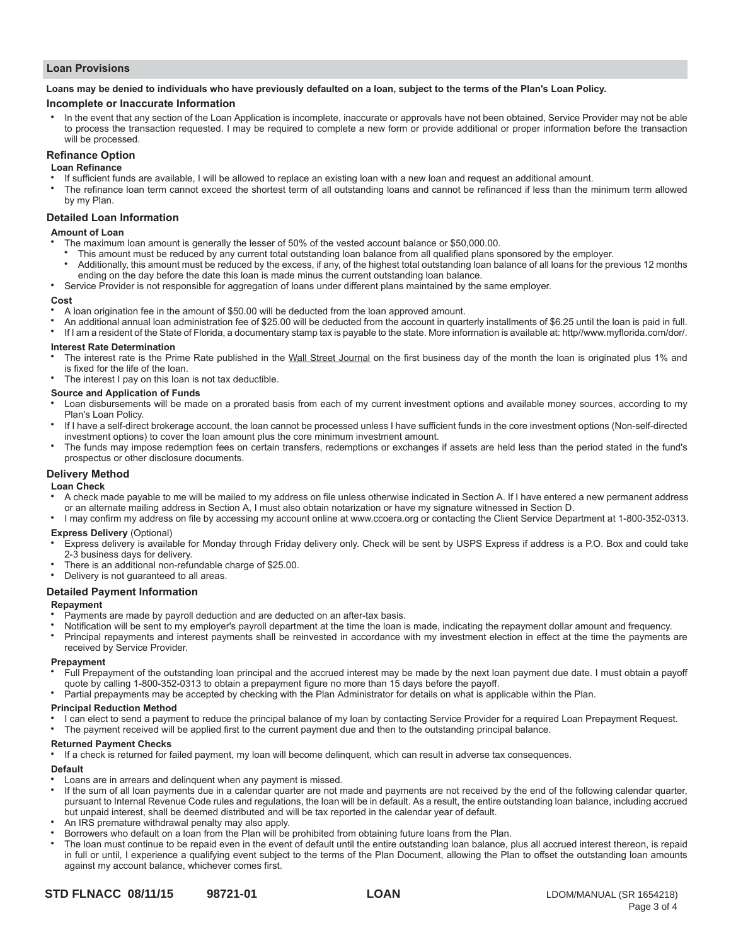### **Loan Provisions**

#### **Loans may be denied to individuals who have previously defaulted on a loan, subject to the terms of the Plan's Loan Policy.**

### **Incomplete or Inaccurate Information**

In the event that any section of the Loan Application is incomplete, inaccurate or approvals have not been obtained, Service Provider may not be able to process the transaction requested. I may be required to complete a new form or provide additional or proper information before the transaction will be processed.

## **Refinance Option**

### **Loan Refinance**

- If sufficient funds are available, I will be allowed to replace an existing loan with a new loan and request an additional amount.
- The refinance loan term cannot exceed the shortest term of all outstanding loans and cannot be refinanced if less than the minimum term allowed by my Plan.

### **Detailed Loan Information**

### **Amount of Loan**

- The maximum loan amount is generally the lesser of 50% of the vested account balance or \$50,000.00.
- This amount must be reduced by any current total outstanding loan balance from all qualified plans sponsored by the employer.
- Additionally, this amount must be reduced by the excess, if any, of the highest total outstanding loan balance of all loans for the previous 12 months ending on the day before the date this loan is made minus the current outstanding loan balance.
- <sup>Ɣ</sup> Service Provider is not responsible for aggregation of loans under different plans maintained by the same employer.

#### **Cost**

- A loan origination fee in the amount of \$50.00 will be deducted from the loan approved amount.
- An additional annual loan administration fee of \$25.00 will be deducted from the account in quarterly installments of \$6.25 until the loan is paid in full.
- If I am a resident of the State of Florida, a documentary stamp tax is payable to the state. More information is available at: http//www.myflorida.com/dor/.

#### **Interest Rate Determination**

- The interest rate is the Prime Rate published in the Wall Street Journal on the first business day of the month the loan is originated plus 1% and is fixed for the life of the loan.
- The interest I pay on this loan is not tax deductible.

#### **Source and Application of Funds**

- Loan disbursements will be made on a prorated basis from each of my current investment options and available money sources, according to my Plan's Loan Policy.
- <sup>Ɣ</sup> If I have a self-direct brokerage account, the loan cannot be processed unless I have sufficient funds in the core investment options (Non-self-directed investment options) to cover the loan amount plus the core minimum investment amount.
- <sup>Ɣ</sup> The funds may impose redemption fees on certain transfers, redemptions or exchanges if assets are held less than the period stated in the fund's prospectus or other disclosure documents.

### **Delivery Method**

## **Loan Check**

- A check made payable to me will be mailed to my address on file unless otherwise indicated in Section A. If I have entered a new permanent address or an alternate mailing address in Section A, I must also obtain notarization or have my signature witnessed in Section D.
- I may confirm my address on file by accessing my account online at www.ccoera.org or contacting the Client Service Department at 1-800-352-0313.

### **Express Delivery** (Optional)

- <sup>Ɣ</sup> Express delivery is available for Monday through Friday delivery only. Check will be sent by USPS Express if address is a P.O. Box and could take 2-3 business days for delivery.
- There is an additional non-refundable charge of \$25.00.
- Delivery is not guaranteed to all areas.

### **Detailed Payment Information**

### **Repayment**

- Payments are made by payroll deduction and are deducted on an after-tax basis.
- Notification will be sent to my employer's payroll department at the time the loan is made, indicating the repayment dollar amount and frequency.
- Principal repayments and interest payments shall be reinvested in accordance with my investment election in effect at the time the payments are received by Service Provider.

#### **Prepayment**

- Full Prepayment of the outstanding loan principal and the accrued interest may be made by the next loan payment due date. I must obtain a payoff quote by calling 1-800-352-0313 to obtain a prepayment figure no more than 15 days before the payoff.
- Partial prepayments may be accepted by checking with the Plan Administrator for details on what is applicable within the Plan.

#### **Principal Reduction Method**

I can elect to send a payment to reduce the principal balance of my loan by contacting Service Provider for a required Loan Prepayment Request. The payment received will be applied first to the current payment due and then to the outstanding principal balance.

### **Returned Payment Checks**

If a check is returned for failed payment, my loan will become delinquent, which can result in adverse tax consequences.

### **Default**

- Loans are in arrears and delinquent when any payment is missed.
- If the sum of all loan payments due in a calendar quarter are not made and payments are not received by the end of the following calendar quarter, pursuant to Internal Revenue Code rules and regulations, the loan will be in default. As a result, the entire outstanding loan balance, including accrued but unpaid interest, shall be deemed distributed and will be tax reported in the calendar year of default.
- An IRS premature withdrawal penalty may also apply.
- Borrowers who default on a loan from the Plan will be prohibited from obtaining future loans from the Plan.
- The loan must continue to be repaid even in the event of default until the entire outstanding loan balance, plus all accrued interest thereon, is repaid in full or until, I experience a qualifying event subject to the terms of the Plan Document, allowing the Plan to offset the outstanding loan amounts against my account balance, whichever comes first.